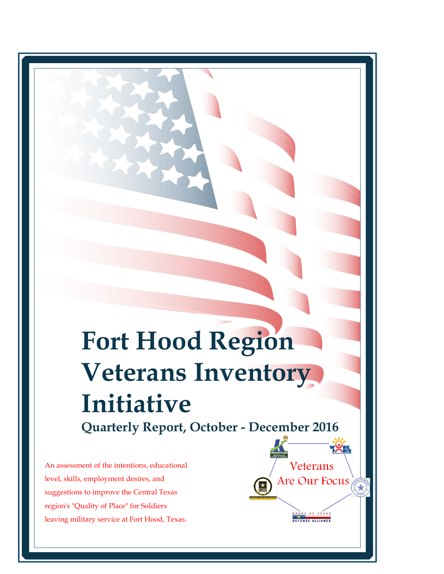# **Fort Hood Region Veterans Inventory Initiative**

**Quarterly Report, October - December 2016**

Veterans

Are Our Focus

OF TEXA DEFENSE ALLIANCE  $\Rightarrow$ 

An assessment of the intentions, educational level, skills, employment desires, and suggestions to improve the Central Texas region's "Quality of Place" for Soldiers leaving military service at Fort Hood, Texas.  **<br>
ualit<br>
itary**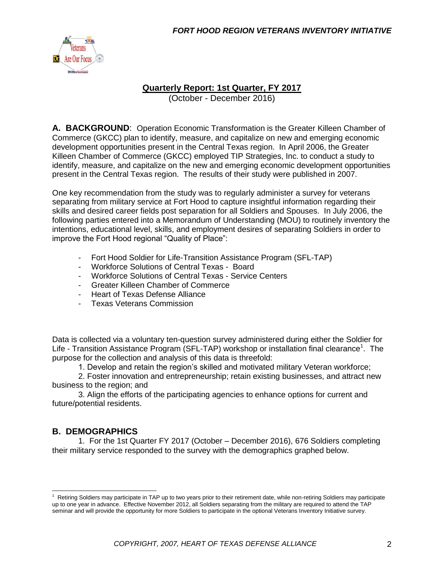

#### **Quarterly Report: 1st Quarter, FY 2017**

(October - December 2016)

**A. BACKGROUND**: Operation Economic Transformation is the Greater Killeen Chamber of Commerce (GKCC) plan to identify, measure, and capitalize on new and emerging economic development opportunities present in the Central Texas region. In April 2006, the Greater Killeen Chamber of Commerce (GKCC) employed TIP Strategies, Inc. to conduct a study to identify, measure, and capitalize on the new and emerging economic development opportunities present in the Central Texas region. The results of their study were published in 2007.

One key recommendation from the study was to regularly administer a survey for veterans separating from military service at Fort Hood to capture insightful information regarding their skills and desired career fields post separation for all Soldiers and Spouses. In July 2006, the following parties entered into a Memorandum of Understanding (MOU) to routinely inventory the intentions, educational level, skills, and employment desires of separating Soldiers in order to improve the Fort Hood regional "Quality of Place":

- Fort Hood Soldier for Life-Transition Assistance Program (SFL-TAP)
- Workforce Solutions of Central Texas Board
- Workforce Solutions of Central Texas Service Centers
- Greater Killeen Chamber of Commerce
- Heart of Texas Defense Alliance
- Texas Veterans Commission

Data is collected via a voluntary ten-question survey administered during either the Soldier for Life - Transition Assistance Program (SFL-TAP) workshop or installation final clearance<sup>1</sup>. The purpose for the collection and analysis of this data is threefold:

1. Develop and retain the region's skilled and motivated military Veteran workforce;

2. Foster innovation and entrepreneurship; retain existing businesses, and attract new business to the region; and

3. Align the efforts of the participating agencies to enhance options for current and future/potential residents.

### **B. DEMOGRAPHICS**

1. For the 1st Quarter FY 2017 (October – December 2016), 676 Soldiers completing their military service responded to the survey with the demographics graphed below.

 $1$  Retiring Soldiers may participate in TAP up to two years prior to their retirement date, while non-retiring Soldiers may participate up to one year in advance. Effective November 2012, all Soldiers separating from the military are required to attend the TAP seminar and will provide the opportunity for more Soldiers to participate in the optional Veterans Inventory Initiative survey.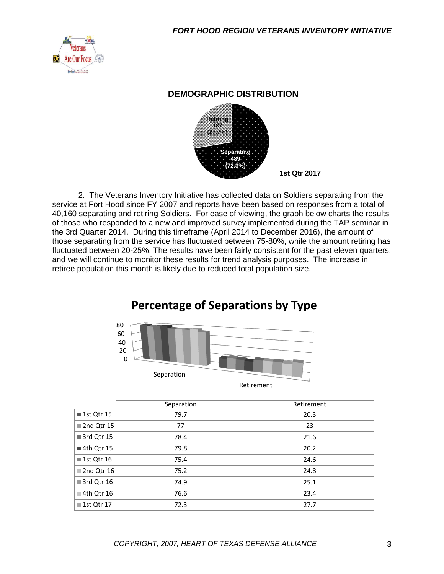

#### **DEMOGRAPHIC DISTRIBUTION**



2. The Veterans Inventory Initiative has collected data on Soldiers separating from the service at Fort Hood since FY 2007 and reports have been based on responses from a total of 40,160 separating and retiring Soldiers. For ease of viewing, the graph below charts the results of those who responded to a new and improved survey implemented during the TAP seminar in the 3rd Quarter 2014. During this timeframe (April 2014 to December 2016), the amount of those separating from the service has fluctuated between 75-80%, while the amount retiring has fluctuated between 20-25%. The results have been fairly consistent for the past eleven quarters, and we will continue to monitor these results for trend analysis purposes. The increase in retiree population this month is likely due to reduced total population size.

# **Percentage of Separations by Type**



|                           | Separation | Retirement |
|---------------------------|------------|------------|
| ■ 1st Qtr 15              | 79.7       | 20.3       |
| 2nd Qtr 15                | 77         | 23         |
| 3rd Qtr 15                | 78.4       | 21.6       |
| 4th Qtr 15                | 79.8       | 20.2       |
| $\blacksquare$ 1st Qtr 16 | 75.4       | 24.6       |
| 2nd Qtr 16                | 75.2       | 24.8       |
| 3rd Qtr 16                | 74.9       | 25.1       |
| $\blacksquare$ 4th Qtr 16 | 76.6       | 23.4       |
| ■ 1st Qtr 17              | 72.3       | 27.7       |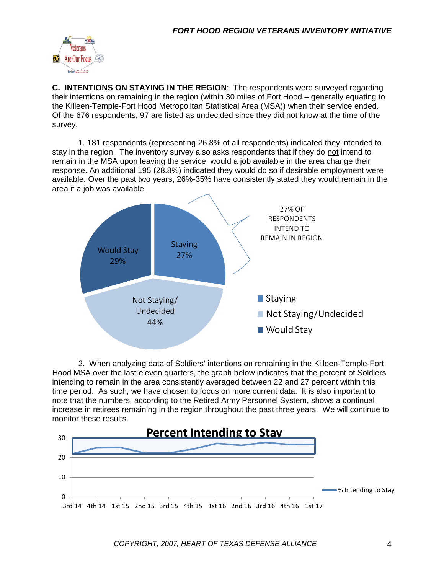

**C. INTENTIONS ON STAYING IN THE REGION**: The respondents were surveyed regarding their intentions on remaining in the region (within 30 miles of Fort Hood – generally equating to the Killeen-Temple-Fort Hood Metropolitan Statistical Area (MSA)) when their service ended. Of the 676 respondents, 97 are listed as undecided since they did not know at the time of the survey.

1. 181 respondents (representing 26.8% of all respondents) indicated they intended to stay in the region. The inventory survey also asks respondents that if they do not intend to remain in the MSA upon leaving the service, would a job available in the area change their response. An additional 195 (28.8%) indicated they would do so if desirable employment were available. Over the past two years, 26%-35% have consistently stated they would remain in the area if a job was available.



2. When analyzing data of Soldiers' intentions on remaining in the Killeen-Temple-Fort Hood MSA over the last eleven quarters, the graph below indicates that the percent of Soldiers intending to remain in the area consistently averaged between 22 and 27 percent within this time period. As such, we have chosen to focus on more current data. It is also important to note that the numbers, according to the Retired Army Personnel System, shows a continual increase in retirees remaining in the region throughout the past three years. We will continue to monitor these results.

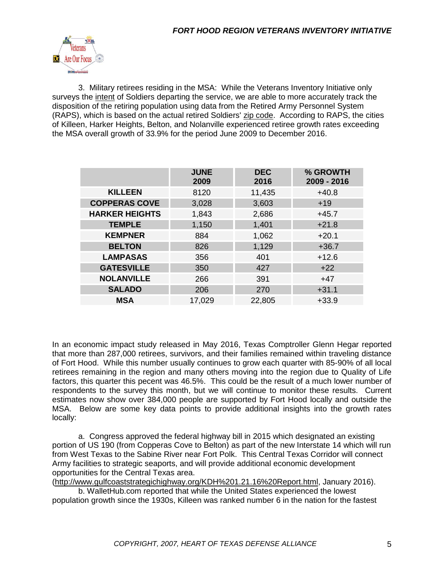

3. Military retirees residing in the MSA: While the Veterans Inventory Initiative only surveys the intent of Soldiers departing the service, we are able to more accurately track the disposition of the retiring population using data from the Retired Army Personnel System (RAPS), which is based on the actual retired Soldiers' zip code. According to RAPS, the cities of Killeen, Harker Heights, Belton, and Nolanville experienced retiree growth rates exceeding the MSA overall growth of 33.9% for the period June 2009 to December 2016.

|                       | <b>JUNE</b><br>2009 | <b>DEC</b><br>2016 | % GROWTH<br>2009 - 2016 |
|-----------------------|---------------------|--------------------|-------------------------|
| <b>KILLEEN</b>        | 8120                | 11,435             | $+40.8$                 |
| <b>COPPERAS COVE</b>  | 3,028               | 3,603              | $+19$                   |
| <b>HARKER HEIGHTS</b> | 1,843               | 2,686              | $+45.7$                 |
| <b>TEMPLE</b>         | 1,150               | 1,401              | $+21.8$                 |
| <b>KEMPNER</b>        | 884                 | 1,062              | $+20.1$                 |
| <b>BELTON</b>         | 826                 | 1,129              | $+36.7$                 |
| <b>LAMPASAS</b>       | 356                 | 401                | $+12.6$                 |
| <b>GATESVILLE</b>     | 350                 | 427                | $+22$                   |
| <b>NOLANVILLE</b>     | 266                 | 391                | $+47$                   |
| <b>SALADO</b>         | 206                 | 270                | $+31.1$                 |
| <b>MSA</b>            | 17,029              | 22,805             | $+33.9$                 |

In an economic impact study released in May 2016, Texas Comptroller Glenn Hegar reported that more than 287,000 retirees, survivors, and their families remained within traveling distance of Fort Hood. While this number usually continues to grow each quarter with 85-90% of all local retirees remaining in the region and many others moving into the region due to Quality of Life factors, this quarter this pecent was 46.5%. This could be the result of a much lower number of respondents to the survey this month, but we will continue to monitor these results. Current estimates now show over 384,000 people are supported by Fort Hood locally and outside the MSA. Below are some key data points to provide additional insights into the growth rates locally:

a. Congress approved the federal highway bill in 2015 which designated an existing portion of US 190 (from Copperas Cove to Belton) as part of the new Interstate 14 which will run from West Texas to the Sabine River near Fort Polk. This Central Texas Corridor will connect Army facilities to strategic seaports, and will provide additional economic development opportunities for the Central Texas area.

[\(http://www.gulfcoaststrategichighway.org/KDH%201.21.16%20Report.html,](http://www.gulfcoaststrategichighway.org/KDH%201.21.16%20Report.html) January 2016). b. WalletHub.com reported that while the United States experienced the lowest

population growth since the 1930s, Killeen was ranked number 6 in the nation for the fastest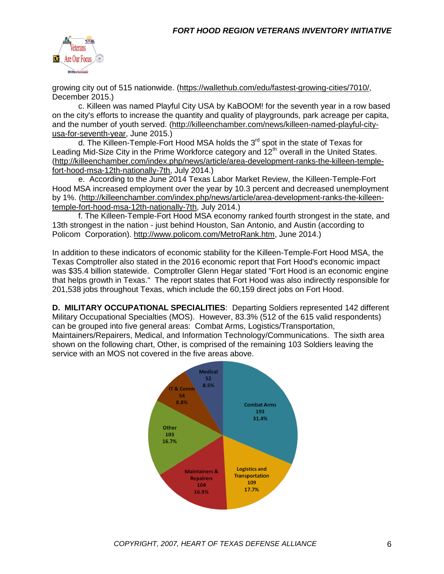

growing city out of 515 nationwide. [\(https://wallethub.com/edu/fastest-growing-cities/7010/,](https://wallethub.com/edu/fastest-growing-cities/7010/) December 2015.)

c. Killeen was named Playful City USA by KaBOOM! for the seventh year in a row based on the city's efforts to increase the quantity and quality of playgrounds, park acreage per capita, and the number of youth served. [\(http://killeenchamber.com/news/killeen-named-playful-city](http://killeenchamber.com/news/killeen-named-playful-city-usa-for-seventh-year)[usa-for-seventh-year,](http://killeenchamber.com/news/killeen-named-playful-city-usa-for-seventh-year) June 2015.)

d. The Killeen-Temple-Fort Hood MSA holds the  $3<sup>rd</sup>$  spot in the state of Texas for Leading Mid-Size City in the Prime Workforce category and  $12<sup>th</sup>$  overall in the United States. [\(http://killeenchamber.com/index.php/news/article/area-development-ranks-the-killeen-temple](http://killeenchamber.com/index.php/news/article/area-development-ranks-the-killeen-temple-fort-hood-msa-12th-nationally-7th)[fort-hood-msa-12th-nationally-7th,](http://killeenchamber.com/index.php/news/article/area-development-ranks-the-killeen-temple-fort-hood-msa-12th-nationally-7th) July 2014.)

e. According to the June 2014 Texas Labor Market Review, the Killeen-Temple-Fort Hood MSA increased employment over the year by 10.3 percent and decreased unemployment by 1%. [\(http://killeenchamber.com/index.php/news/article/area-development-ranks-the-killeen](http://killeenchamber.com/index.php/news/article/area-development-ranks-the-killeen-temple-fort-hood-msa-12th-nationally-7th)[temple-fort-hood-msa-12th-nationally-7th,](http://killeenchamber.com/index.php/news/article/area-development-ranks-the-killeen-temple-fort-hood-msa-12th-nationally-7th) July 2014.)

f. The Killeen-Temple-Fort Hood MSA economy ranked fourth strongest in the state, and 13th strongest in the nation - just behind Houston, San Antonio, and Austin (according to Policom Corporation). [http://www.policom.com/MetroRank.htm,](http://www.policom.com/MetroRank.htm) June 2014.)

In addition to these indicators of economic stability for the Killeen-Temple-Fort Hood MSA, the Texas Comptroller also stated in the 2016 economic report that Fort Hood's economic impact was \$35.4 billion statewide. Comptroller Glenn Hegar stated "Fort Hood is an economic engine that helps growth in Texas." The report states that Fort Hood was also indirectly responsible for 201,538 jobs throughout Texas, which include the 60,159 direct jobs on Fort Hood.

**D. MILITARY OCCUPATIONAL SPECIALITIES**: Departing Soldiers represented 142 different Military Occupational Specialties (MOS). However, 83.3% (512 of the 615 valid respondents) can be grouped into five general areas: Combat Arms, Logistics/Transportation, Maintainers/Repairers, Medical, and Information Technology/Communications. The sixth area shown on the following chart, Other, is comprised of the remaining 103 Soldiers leaving the service with an MOS not covered in the five areas above.

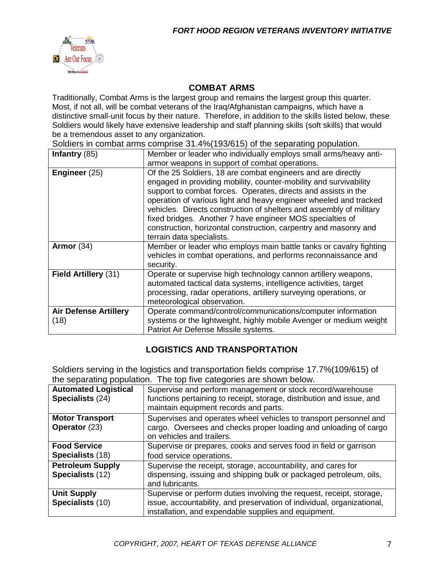

#### **COMBAT ARMS**

Traditionally, Combat Arms is the largest group and remains the largest group this quarter. Most, if not all, will be combat veterans of the Iraq/Afghanistan campaigns, which have a distinctive small-unit focus by their nature. Therefore, in addition to the skills listed below, these Soldiers would likely have extensive leadership and staff planning skills (soft skills) that would be a tremendous asset to any organization.

Soldiers in combat arms comprise 31.4%(193/615) of the separating population.

| Infantry $(85)$                      | Member or leader who individually employs small arms/heavy anti-                                                                                                                                                                                                                                                                                                                                                                                                                                              |  |  |
|--------------------------------------|---------------------------------------------------------------------------------------------------------------------------------------------------------------------------------------------------------------------------------------------------------------------------------------------------------------------------------------------------------------------------------------------------------------------------------------------------------------------------------------------------------------|--|--|
|                                      | armor weapons in support of combat operations.                                                                                                                                                                                                                                                                                                                                                                                                                                                                |  |  |
| Engineer (25)                        | Of the 25 Soldiers, 18 are combat engineers and are directly<br>engaged in providing mobility, counter-mobility and survivability<br>support to combat forces. Operates, directs and assists in the<br>operation of various light and heavy engineer wheeled and tracked<br>vehicles. Directs construction of shelters and assembly of military<br>fixed bridges. Another 7 have engineer MOS specialties of<br>construction, horizontal construction, carpentry and masonry and<br>terrain data specialists. |  |  |
| Armor $(34)$                         | Member or leader who employs main battle tanks or cavalry fighting<br>vehicles in combat operations, and performs reconnaissance and<br>security.                                                                                                                                                                                                                                                                                                                                                             |  |  |
| Field Artillery (31)                 | Operate or supervise high technology cannon artillery weapons,<br>automated tactical data systems, intelligence activities, target<br>processing, radar operations, artillery surveying operations, or<br>meteorological observation.                                                                                                                                                                                                                                                                         |  |  |
| <b>Air Defense Artillery</b><br>(18) | Operate command/control/communications/computer information<br>systems or the lightweight, highly mobile Avenger or medium weight<br>Patriot Air Defense Missile systems.                                                                                                                                                                                                                                                                                                                                     |  |  |

### **LOGISTICS AND TRANSPORTATION**

Soldiers serving in the logistics and transportation fields comprise 17.7%(109/615) of the separating population. The top five categories are shown below.

| <b>Automated Logistical</b> | Supervise and perform management or stock record/warehouse             |
|-----------------------------|------------------------------------------------------------------------|
| Specialists (24)            | functions pertaining to receipt, storage, distribution and issue, and  |
|                             | maintain equipment records and parts.                                  |
| <b>Motor Transport</b>      | Supervises and operates wheel vehicles to transport personnel and      |
| <b>Operator</b> (23)        | cargo. Oversees and checks proper loading and unloading of cargo       |
|                             | on vehicles and trailers.                                              |
| <b>Food Service</b>         | Supervise or prepares, cooks and serves food in field or garrison      |
| Specialists (18)            | food service operations.                                               |
| <b>Petroleum Supply</b>     | Supervise the receipt, storage, accountability, and cares for          |
| Specialists (12)            | dispensing, issuing and shipping bulk or packaged petroleum, oils,     |
|                             | and lubricants.                                                        |
| <b>Unit Supply</b>          | Supervise or perform duties involving the request, receipt, storage,   |
| Specialists (10)            | issue, accountability, and preservation of individual, organizational, |
|                             | installation, and expendable supplies and equipment.                   |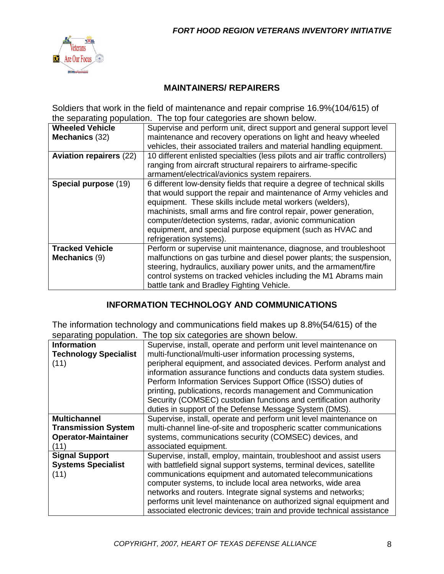

#### **MAINTAINERS/ REPAIRERS**

Soldiers that work in the field of maintenance and repair comprise 16.9%(104/615) of the separating population. The top four categories are shown below.

| <b>Wheeled Vehicle</b>         | Supervise and perform unit, direct support and general support level        |
|--------------------------------|-----------------------------------------------------------------------------|
| Mechanics (32)                 | maintenance and recovery operations on light and heavy wheeled              |
|                                | vehicles, their associated trailers and material handling equipment.        |
| <b>Aviation repairers (22)</b> | 10 different enlisted specialties (less pilots and air traffic controllers) |
|                                | ranging from aircraft structural repairers to airframe-specific             |
|                                | armament/electrical/avionics system repairers.                              |
| Special purpose (19)           | 6 different low-density fields that require a degree of technical skills    |
|                                | that would support the repair and maintenance of Army vehicles and          |
|                                | equipment. These skills include metal workers (welders),                    |
|                                | machinists, small arms and fire control repair, power generation,           |
|                                | computer/detection systems, radar, avionic communication                    |
|                                | equipment, and special purpose equipment (such as HVAC and                  |
|                                | refrigeration systems).                                                     |
| <b>Tracked Vehicle</b>         | Perform or supervise unit maintenance, diagnose, and troubleshoot           |
| Mechanics (9)                  | malfunctions on gas turbine and diesel power plants; the suspension,        |
|                                | steering, hydraulics, auxiliary power units, and the armament/fire          |
|                                | control systems on tracked vehicles including the M1 Abrams main            |
|                                | battle tank and Bradley Fighting Vehicle.                                   |

### **INFORMATION TECHNOLOGY AND COMMUNICATIONS**

The information technology and communications field makes up 8.8%(54/615) of the separating population. The top six categories are shown below.

| Supervise, install, operate and perform unit level maintenance on     |
|-----------------------------------------------------------------------|
| multi-functional/multi-user information processing systems,           |
| peripheral equipment, and associated devices. Perform analyst and     |
| information assurance functions and conducts data system studies.     |
| Perform Information Services Support Office (ISSO) duties of          |
| printing, publications, records management and Communication          |
| Security (COMSEC) custodian functions and certification authority     |
| duties in support of the Defense Message System (DMS).                |
| Supervise, install, operate and perform unit level maintenance on     |
| multi-channel line-of-site and tropospheric scatter communications    |
| systems, communications security (COMSEC) devices, and                |
| associated equipment.                                                 |
| Supervise, install, employ, maintain, troubleshoot and assist users   |
| with battlefield signal support systems, terminal devices, satellite  |
| communications equipment and automated telecommunications             |
| computer systems, to include local area networks, wide area           |
| networks and routers. Integrate signal systems and networks;          |
| performs unit level maintenance on authorized signal equipment and    |
| associated electronic devices; train and provide technical assistance |
|                                                                       |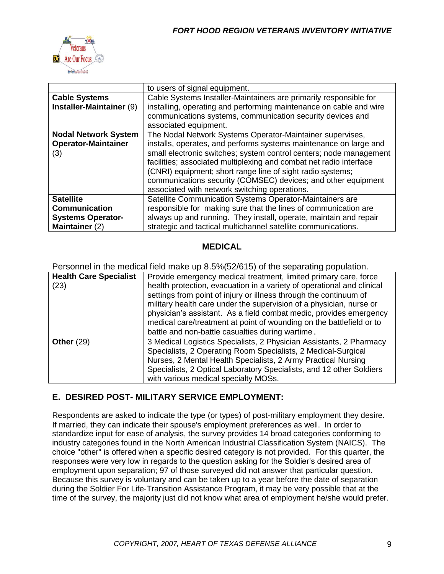

|                                                                                                 | to users of signal equipment.                                      |  |  |
|-------------------------------------------------------------------------------------------------|--------------------------------------------------------------------|--|--|
| <b>Cable Systems</b>                                                                            | Cable Systems Installer-Maintainers are primarily responsible for  |  |  |
| Installer-Maintainer (9)                                                                        | installing, operating and performing maintenance on cable and wire |  |  |
|                                                                                                 | communications systems, communication security devices and         |  |  |
|                                                                                                 | associated equipment.                                              |  |  |
| <b>Nodal Network System</b>                                                                     | The Nodal Network Systems Operator-Maintainer supervises,          |  |  |
| <b>Operator-Maintainer</b><br>installs, operates, and performs systems maintenance on large and |                                                                    |  |  |
| (3)                                                                                             | small electronic switches; system control centers; node management |  |  |
|                                                                                                 | facilities; associated multiplexing and combat net radio interface |  |  |
|                                                                                                 | (CNRI) equipment; short range line of sight radio systems;         |  |  |
|                                                                                                 | communications security (COMSEC) devices; and other equipment      |  |  |
|                                                                                                 | associated with network switching operations.                      |  |  |
| <b>Satellite</b>                                                                                | Satellite Communication Systems Operator-Maintainers are           |  |  |
| <b>Communication</b>                                                                            | responsible for making sure that the lines of communication are    |  |  |
| <b>Systems Operator-</b>                                                                        | always up and running. They install, operate, maintain and repair  |  |  |
| Maintainer (2)                                                                                  | strategic and tactical multichannel satellite communications.      |  |  |

#### **MEDICAL**

Personnel in the medical field make up 8.5%(52/615) of the separating population.

| <b>Health Care Specialist</b> | Provide emergency medical treatment, limited primary care, force       |  |  |
|-------------------------------|------------------------------------------------------------------------|--|--|
| (23)                          | health protection, evacuation in a variety of operational and clinical |  |  |
|                               | settings from point of injury or illness through the continuum of      |  |  |
|                               | military health care under the supervision of a physician, nurse or    |  |  |
|                               | physician's assistant. As a field combat medic, provides emergency     |  |  |
|                               | medical care/treatment at point of wounding on the battlefield or to   |  |  |
|                               | battle and non-battle casualties during wartime.                       |  |  |
| Other $(29)$                  | 3 Medical Logistics Specialists, 2 Physician Assistants, 2 Pharmacy    |  |  |
|                               | Specialists, 2 Operating Room Specialists, 2 Medical-Surgical          |  |  |
|                               | Nurses, 2 Mental Health Specialists, 2 Army Practical Nursing          |  |  |
|                               | Specialists, 2 Optical Laboratory Specialists, and 12 other Soldiers   |  |  |
|                               | with various medical specialty MOSs.                                   |  |  |

### **E. DESIRED POST- MILITARY SERVICE EMPLOYMENT:**

Respondents are asked to indicate the type (or types) of post-military employment they desire. If married, they can indicate their spouse's employment preferences as well. In order to standardize input for ease of analysis, the survey provides 14 broad categories conforming to industry categories found in the North American Industrial Classification System (NAICS). The choice "other" is offered when a specific desired category is not provided. For this quarter, the responses were very low in regards to the question asking for the Soldier's desired area of employment upon separation; 97 of those surveyed did not answer that particular question. Because this survey is voluntary and can be taken up to a year before the date of separation during the Soldier For Life-Transition Assistance Program, it may be very possible that at the time of the survey, the majority just did not know what area of employment he/she would prefer.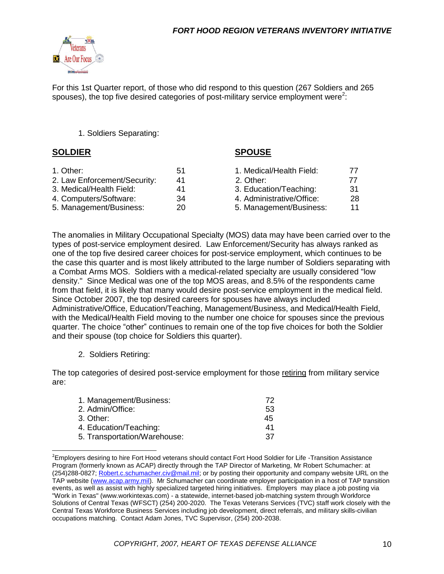

For this 1st Quarter report, of those who did respond to this question (267 Soldiers and 265 spouses), the top five desired categories of post-military service employment were<sup>2</sup>:

#### 1. Soldiers Separating:

#### **SOLDIER SPOUSE**

| 1. Other:                    | 51 | 1. Medical/Health Field:  | 77  |
|------------------------------|----|---------------------------|-----|
| 2. Law Enforcement/Security: | 41 | 2. Other:                 | 77  |
| 3. Medical/Health Field:     | 41 | 3. Education/Teaching:    | -31 |
| 4. Computers/Software:       | 34 | 4. Administrative/Office: | 28  |
| 5. Management/Business:      | 20 | 5. Management/Business:   | 11  |

The anomalies in Military Occupational Specialty (MOS) data may have been carried over to the types of post-service employment desired. Law Enforcement/Security has always ranked as one of the top five desired career choices for post-service employment, which continues to be the case this quarter and is most likely attributed to the large number of Soldiers separating with a Combat Arms MOS. Soldiers with a medical-related specialty are usually considered "low density." Since Medical was one of the top MOS areas, and 8.5% of the respondents came from that field, it is likely that many would desire post-service employment in the medical field. Since October 2007, the top desired careers for spouses have always included Administrative/Office, Education/Teaching, Management/Business, and Medical/Health Field, with the Medical/Health Field moving to the number one choice for spouses since the previous quarter. The choice "other" continues to remain one of the top five choices for both the Soldier and their spouse (top choice for Soldiers this quarter).

#### 2. Soldiers Retiring:

The top categories of desired post-service employment for those retiring from military service are:

| 1. Management/Business:      | 72 |
|------------------------------|----|
| 2. Admin/Office:             | 53 |
| 3. Other:                    | 45 |
| 4. Education/Teaching:       | 41 |
| 5. Transportation/Warehouse: | 37 |

<sup>&</sup>lt;sup>2</sup>Employers desiring to hire Fort Hood veterans should contact Fort Hood Soldier for Life -Transition Assistance Program (formerly known as ACAP) directly through the TAP Director of Marketing, Mr Robert Schumacher: at (254)288-0827; [Robert.c.schumacher.civ@mail.mil;](mailto:Robert.c.schumacher.civ@mail.mil) or by posting their opportunity and company website URL on the TAP website [\(www.acap.army.mil\)](http://www.acap.army.mil/). Mr Schumacher can coordinate employer participation in a host of TAP transition events, as well as assist with highly specialized targeted hiring initiatives. Employers may place a job posting via "Work in Texas" (www.workintexas.com) - a statewide, internet-based job-matching system through Workforce Solutions of Central Texas (WFSCT) (254) 200-2020. The Texas Veterans Services (TVC) staff work closely with the Central Texas Workforce Business Services including job development, direct referrals, and military skills-civilian occupations matching. Contact Adam Jones, TVC Supervisor, (254) 200-2038.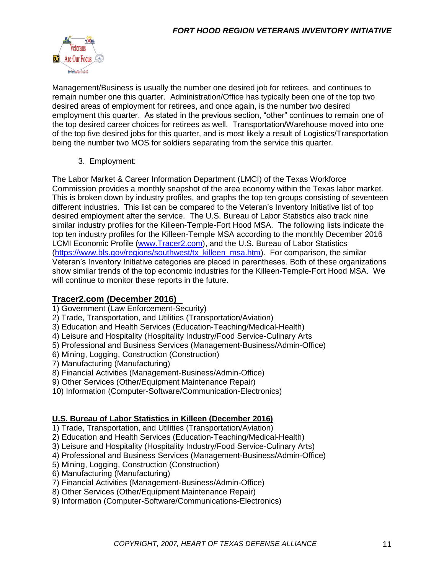

Management/Business is usually the number one desired job for retirees, and continues to remain number one this quarter. Administration/Office has typically been one of the top two desired areas of employment for retirees, and once again, is the number two desired employment this quarter. As stated in the previous section, "other" continues to remain one of the top desired career choices for retirees as well. Transportation/Warehouse moved into one of the top five desired jobs for this quarter, and is most likely a result of Logistics/Transportation being the number two MOS for soldiers separating from the service this quarter.

3. Employment:

The Labor Market & Career Information Department (LMCI) of the Texas Workforce Commission provides a monthly snapshot of the area economy within the Texas labor market. This is broken down by industry profiles, and graphs the top ten groups consisting of seventeen different industries. This list can be compared to the Veteran's Inventory Initiative list of top desired employment after the service. The U.S. Bureau of Labor Statistics also track nine similar industry profiles for the Killeen-Temple-Fort Hood MSA. The following lists indicate the top ten industry profiles for the Killeen-Temple MSA according to the monthly December 2016 LCMI Economic Profile [\(www.Tracer2.com\)](http://www.tracer2.com/), and the U.S. Bureau of Labor Statistics [\(https://www.bls.gov/regions/southwest/tx\\_killeen\\_msa.htm\)](https://www.bls.gov/regions/southwest/tx_killeen_msa.htm). For comparison, the similar Veteran's Inventory Initiative categories are placed in parentheses. Both of these organizations show similar trends of the top economic industries for the Killeen-Temple-Fort Hood MSA. We will continue to monitor these reports in the future.

### **Tracer2.com (December 2016)**

- 1) Government (Law Enforcement-Security)
- 2) Trade, Transportation, and Utilities (Transportation/Aviation)
- 3) Education and Health Services (Education-Teaching/Medical-Health)
- 4) Leisure and Hospitality (Hospitality Industry/Food Service-Culinary Arts
- 5) Professional and Business Services (Management-Business/Admin-Office)
- 6) Mining, Logging, Construction (Construction)
- 7) Manufacturing (Manufacturing)
- 8) Financial Activities (Management-Business/Admin-Office)
- 9) Other Services (Other/Equipment Maintenance Repair)
- 10) Information (Computer-Software/Communication-Electronics)

#### **U.S. Bureau of Labor Statistics in Killeen (December 2016)**

- 1) Trade, Transportation, and Utilities (Transportation/Aviation)
- 2) Education and Health Services (Education-Teaching/Medical-Health)
- 3) Leisure and Hospitality (Hospitality Industry/Food Service-Culinary Arts)
- 4) Professional and Business Services (Management-Business/Admin-Office)
- 5) Mining, Logging, Construction (Construction)
- 6) Manufacturing (Manufacturing)
- 7) Financial Activities (Management-Business/Admin-Office)
- 8) Other Services (Other/Equipment Maintenance Repair)
- 9) Information (Computer-Software/Communications-Electronics)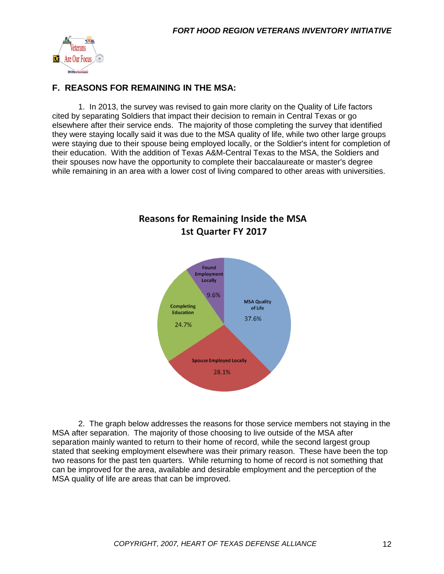

### **F. REASONS FOR REMAINING IN THE MSA:**

1. In 2013, the survey was revised to gain more clarity on the Quality of Life factors cited by separating Soldiers that impact their decision to remain in Central Texas or go elsewhere after their service ends. The majority of those completing the survey that identified they were staying locally said it was due to the MSA quality of life, while two other large groups were staying due to their spouse being employed locally, or the Soldier's intent for completion of their education. With the addition of Texas A&M-Central Texas to the MSA, the Soldiers and their spouses now have the opportunity to complete their baccalaureate or master's degree while remaining in an area with a lower cost of living compared to other areas with universities.



# **Reasons for Remaining Inside the MSA** 1st Quarter FY 2017

2. The graph below addresses the reasons for those service members not staying in the MSA after separation. The majority of those choosing to live outside of the MSA after separation mainly wanted to return to their home of record, while the second largest group stated that seeking employment elsewhere was their primary reason. These have been the top two reasons for the past ten quarters. While returning to home of record is not something that can be improved for the area, available and desirable employment and the perception of the MSA quality of life are areas that can be improved.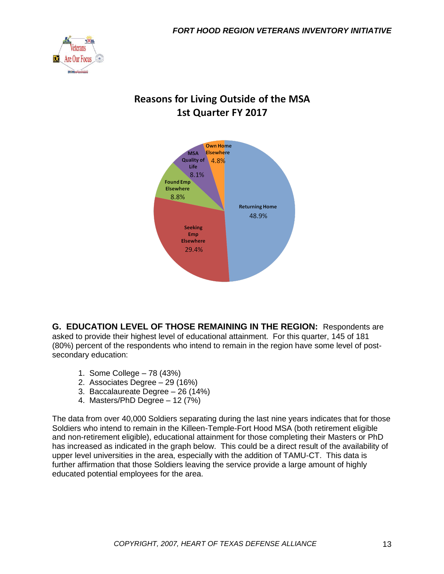

# **Reasons for Living Outside of the MSA** 1st Quarter FY 2017



**G. EDUCATION LEVEL OF THOSE REMAINING IN THE REGION:** Respondents are asked to provide their highest level of educational attainment. For this quarter, 145 of 181 (80%) percent of the respondents who intend to remain in the region have some level of postsecondary education:

- 1. Some College 78 (43%)
- 2. Associates Degree 29 (16%)
- 3. Baccalaureate Degree 26 (14%)
- 4. Masters/PhD Degree 12 (7%)

The data from over 40,000 Soldiers separating during the last nine years indicates that for those Soldiers who intend to remain in the Killeen-Temple-Fort Hood MSA (both retirement eligible and non-retirement eligible), educational attainment for those completing their Masters or PhD has increased as indicated in the graph below. This could be a direct result of the availability of upper level universities in the area, especially with the addition of TAMU-CT. This data is further affirmation that those Soldiers leaving the service provide a large amount of highly educated potential employees for the area.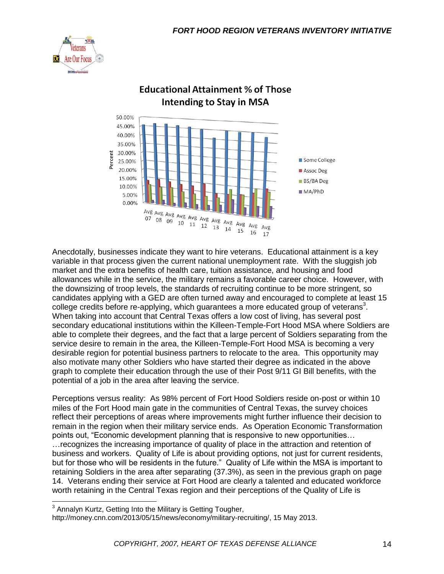



## **Educational Attainment % of Those Intending to Stay in MSA**

Anecdotally, businesses indicate they want to hire veterans. Educational attainment is a key variable in that process given the current national unemployment rate. With the sluggish job market and the extra benefits of health care, tuition assistance, and housing and food allowances while in the service, the military remains a favorable career choice. However, with the downsizing of troop levels, the standards of recruiting continue to be more stringent, so candidates applying with a GED are often turned away and encouraged to complete at least 15 college credits before re-applying, which guarantees a more educated group of veterans<sup>3</sup>. When taking into account that Central Texas offers a low cost of living, has several post secondary educational institutions within the Killeen-Temple-Fort Hood MSA where Soldiers are able to complete their degrees, and the fact that a large percent of Soldiers separating from the service desire to remain in the area, the Killeen-Temple-Fort Hood MSA is becoming a very desirable region for potential business partners to relocate to the area. This opportunity may also motivate many other Soldiers who have started their degree as indicated in the above graph to complete their education through the use of their Post 9/11 GI Bill benefits, with the potential of a job in the area after leaving the service.

Perceptions versus reality: As 98% percent of Fort Hood Soldiers reside on-post or within 10 miles of the Fort Hood main gate in the communities of Central Texas, the survey choices reflect their perceptions of areas where improvements might further influence their decision to remain in the region when their military service ends. As Operation Economic Transformation points out, "Economic development planning that is responsive to new opportunities… …recognizes the increasing importance of quality of place in the attraction and retention of business and workers. Quality of Life is about providing options, not just for current residents, but for those who will be residents in the future." Quality of Life within the MSA is important to retaining Soldiers in the area after separating (37.3%), as seen in the previous graph on page 14. Veterans ending their service at Fort Hood are clearly a talented and educated workforce worth retaining in the Central Texas region and their perceptions of the Quality of Life is

 3 Annalyn Kurtz, Getting Into the Military is Getting Tougher,

http://money.cnn.com/2013/05/15/news/economy/military-recruiting/, 15 May 2013.